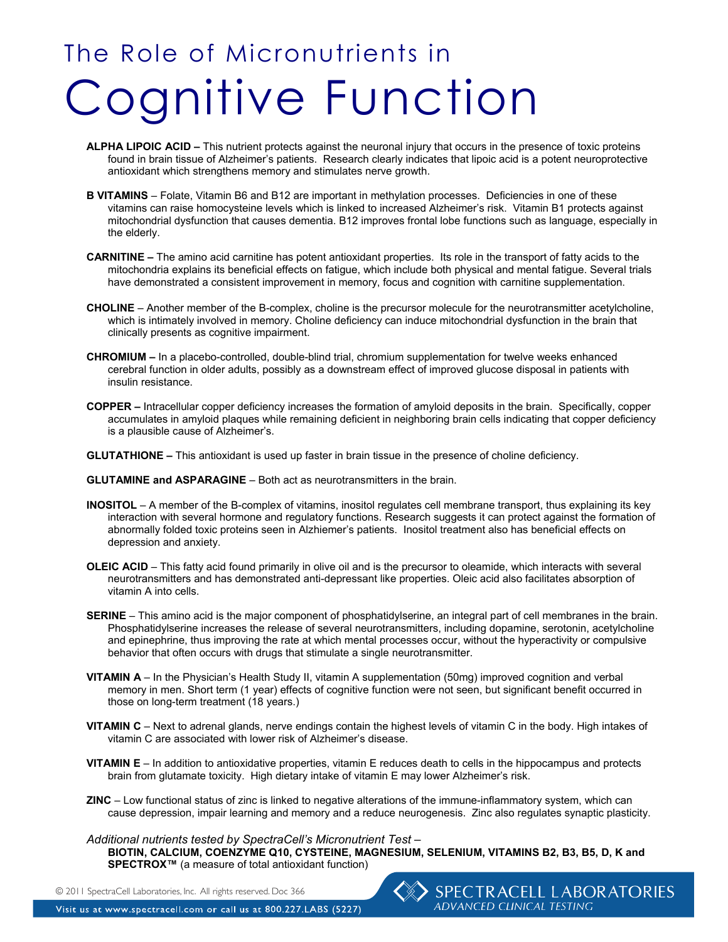# The Role of Micronutrients in Cognitive Function

- **ALPHA LIPOIC ACID** This nutrient protects against the neuronal injury that occurs in the presence of toxic proteins found in brain tissue of Alzheimer's patients. Research clearly indicates that lipoic acid is a potent neuroprotective antioxidant which strengthens memory and stimulates nerve growth.
- **B VITAMINS** Folate, Vitamin B6 and B12 are important in methylation processes. Deficiencies in one of these vitamins can raise homocysteine levels which is linked to increased Alzheimer's risk. Vitamin B1 protects against mitochondrial dysfunction that causes dementia. B12 improves frontal lobe functions such as language, especially in the elderly.
- **CARNITINE** The amino acid carnitine has potent antioxidant properties. Its role in the transport of fatty acids to the mitochondria explains its beneficial effects on fatigue, which include both physical and mental fatigue. Several trials have demonstrated a consistent improvement in memory, focus and cognition with carnitine supplementation.
- **CHOLINE** Another member of the B-complex, choline is the precursor molecule for the neurotransmitter acetylcholine, which is intimately involved in memory. Choline deficiency can induce mitochondrial dysfunction in the brain that clinically presents as cognitive impairment.
- **CHROMIUM** In a placebo-controlled, double-blind trial, chromium supplementation for twelve weeks enhanced cerebral function in older adults, possibly as a downstream effect of improved glucose disposal in patients with insulin resistance.
- **COPPER** Intracellular copper deficiency increases the formation of amyloid deposits in the brain. Specifically, copper accumulates in amyloid plaques while remaining deficient in neighboring brain cells indicating that copper deficiency is a plausible cause of Alzheimer's.
- **GLUTATHIONE** This antioxidant is used up faster in brain tissue in the presence of choline deficiency.
- **GLUTAMINE and ASPARAGINE** Both act as neurotransmitters in the brain.
- **INOSITOL** A member of the B-complex of vitamins, inositol regulates cell membrane transport, thus explaining its key interaction with several hormone and regulatory functions. Research suggests it can protect against the formation of abnormally folded toxic proteins seen in Alzhiemer's patients. Inositol treatment also has beneficial effects on depression and anxiety.
- **OLEIC ACID** This fatty acid found primarily in olive oil and is the precursor to oleamide, which interacts with several neurotransmitters and has demonstrated anti-depressant like properties. Oleic acid also facilitates absorption of vitamin A into cells.
- **SERINE** This amino acid is the major component of phosphatidylserine, an integral part of cell membranes in the brain. Phosphatidylserine increases the release of several neurotransmitters, including dopamine, serotonin, acetylcholine and epinephrine, thus improving the rate at which mental processes occur, without the hyperactivity or compulsive behavior that often occurs with drugs that stimulate a single neurotransmitter.
- **VITAMIN A** In the Physician's Health Study II, vitamin A supplementation (50mg) improved cognition and verbal memory in men. Short term (1 year) effects of cognitive function were not seen, but significant benefit occurred in those on long-term treatment (18 years.)
- **VITAMIN C** Next to adrenal glands, nerve endings contain the highest levels of vitamin C in the body. High intakes of vitamin C are associated with lower risk of Alzheimer's disease.
- **VITAMIN E** In addition to antioxidative properties, vitamin E reduces death to cells in the hippocampus and protects brain from glutamate toxicity. High dietary intake of vitamin E may lower Alzheimer's risk.
- **ZINC** Low functional status of zinc is linked to negative alterations of the immune-inflammatory system, which can cause depression, impair learning and memory and a reduce neurogenesis. Zinc also regulates synaptic plasticity.

### *Additional nutrients tested by SpectraCell's Micronutrient Test –*

 **BIOTIN, CALCIUM, COENZYME Q10, CYSTEINE, MAGNESIUM, SELENIUM, VITAMINS B2, B3, B5, D, K and SPECTROX™** (a measure of total antioxidant function)

© 2011 SpectraCell Laboratories, Inc. All rights reserved. Doc 366

Visit us at www.spectracell.com or call us at 800.227.LABS (5227)

### > SPECTRACELL LABORATORIES ADVANCED CLINICAL TESTING